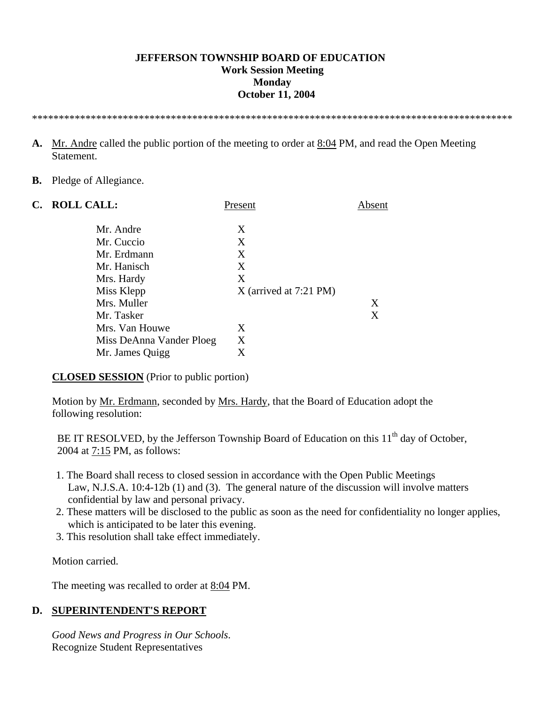#### **JEFFERSON TOWNSHIP BOARD OF EDUCATION Work Session Meeting Monday October 11, 2004**

\*\*\*\*\*\*\*\*\*\*\*\*\*\*\*\*\*\*\*\*\*\*\*\*\*\*\*\*\*\*\*\*\*\*\*\*\*\*\*\*\*\*\*\*\*\*\*\*\*\*\*\*\*\*\*\*\*\*\*\*\*\*\*\*\*\*\*\*\*\*\*\*\*\*\*\*\*\*\*\*\*\*\*\*\*\*\*\*\*\*

- **A.** Mr. Andre called the public portion of the meeting to order at 8:04 PM, and read the Open Meeting Statement.
- **B.** Pledge of Allegiance.

| C. | <b>ROLL CALL:</b>        | Present                  | Absent |
|----|--------------------------|--------------------------|--------|
|    | Mr. Andre                | X                        |        |
|    | Mr. Cuccio               | X                        |        |
|    | Mr. Erdmann              | X                        |        |
|    | Mr. Hanisch              | X                        |        |
|    | Mrs. Hardy               | X                        |        |
|    | Miss Klepp               | $X$ (arrived at 7:21 PM) |        |
|    | Mrs. Muller              |                          | X      |
|    | Mr. Tasker               |                          | X      |
|    | Mrs. Van Houwe           | X                        |        |
|    | Miss DeAnna Vander Ploeg | Χ                        |        |
|    | Mr. James Quigg          | X                        |        |

### **CLOSED SESSION** (Prior to public portion)

 Motion by Mr. Erdmann, seconded by Mrs. Hardy, that the Board of Education adopt the following resolution:

BE IT RESOLVED, by the Jefferson Township Board of Education on this  $11<sup>th</sup>$  day of October, 2004 at 7:15 PM, as follows:

- 1. The Board shall recess to closed session in accordance with the Open Public Meetings Law, N.J.S.A. 10:4-12b (1) and (3). The general nature of the discussion will involve matters confidential by law and personal privacy.
- 2. These matters will be disclosed to the public as soon as the need for confidentiality no longer applies, which is anticipated to be later this evening.
- 3. This resolution shall take effect immediately.

Motion carried.

The meeting was recalled to order at 8:04 PM.

### **D. SUPERINTENDENT'S REPORT**

 *Good News and Progress in Our Schools*. Recognize Student Representatives